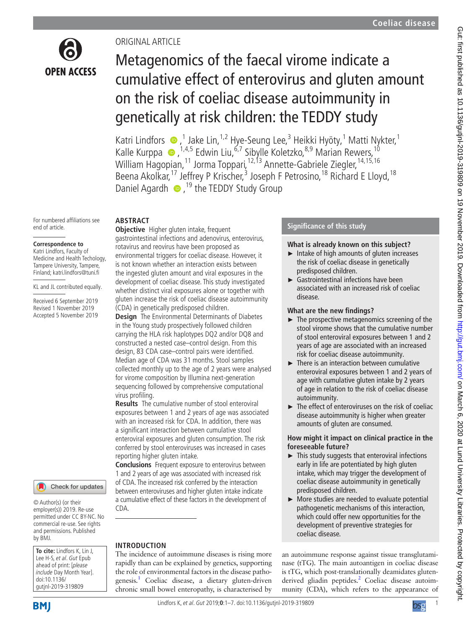

# Original article

**Abstract**

# Metagenomics of the faecal virome indicate a cumulative effect of enterovirus and gluten amount on the risk of coeliac disease autoimmunity in genetically at risk children: the TEDDY study

KatriLindfors  $\bullet$ ,<sup>1</sup> Jake Lin,<sup>1,2</sup> Hye-Seung Lee,<sup>3</sup> Heikki Hyöty,<sup>1</sup> Matti Nykter,<sup>1</sup> KalleKurppa  $\bigcirc$ ,<sup>1,4,5</sup> Edwin Liu,<sup>6,7</sup> Sibylle Koletzko,<sup>8,9</sup> Marian Rewers,<sup>10</sup> William Hagopian, <sup>11</sup> Jorma Toppari, <sup>12, 13</sup> Annette-Gabriele Ziegler, <sup>14, 15, 16</sup> Beena Akolkar,<sup>17</sup> Jeffrey P Krischer,<sup>3</sup> Joseph F Petrosino,<sup>18</sup> Richard E Lloyd,<sup>18</sup> Daniel Agardh  $\bullet$ , <sup>19</sup> the TEDDY Study Group

For numbered affiliations see end of article.

#### **Correspondence to**

Katri Lindfors, Faculty of Medicine and Health Techology, Tampere University, Tampere, Finland; katri.lindfors@tuni.fi

KL and JL contributed equally.

Received 6 September 2019 Revised 1 November 2019 Accepted 5 November 2019



© Author(s) (or their employer(s)) 2019. Re-use permitted under CC BY-NC. No commercial re-use. See rights and permissions. Published by BMJ.

**To cite:** Lindfors K, Lin J, Lee H-S, et al. Gut Epub ahead of print: [please include Day Month Year]. doi:10.1136/ gutjnl-2019-319809

### **Objective** Higher gluten intake, frequent gastrointestinal infections and adenovirus, enterovirus, rotavirus and reovirus have been proposed as environmental triggers for coeliac disease. However, it is not known whether an interaction exists between the ingested gluten amount and viral exposures in the development of coeliac disease. This study investigated whether distinct viral exposures alone or together with gluten increase the risk of coeliac disease autoimmunity (CDA) in genetically predisposed children.

**Design** The Environmental Determinants of Diabetes in the Young study prospectively followed children carrying the HLA risk haplotypes DQ2 and/or DQ8 and constructed a nested case–control design. From this design, 83 CDA case–control pairs were identified. Median age of CDA was 31 months. Stool samples collected monthly up to the age of 2 years were analysed for virome composition by Illumina next-generation sequencing followed by comprehensive computational virus profiling.

**Results** The cumulative number of stool enteroviral exposures between 1 and 2 years of age was associated with an increased risk for CDA. In addition, there was a significant interaction between cumulative stool enteroviral exposures and gluten consumption. The risk conferred by stool enteroviruses was increased in cases reporting higher gluten intake.

**Conclusions** Frequent exposure to enterovirus between 1 and 2 years of age was associated with increased risk of CDA. The increased risk conferred by the interaction between enteroviruses and higher gluten intake indicate a cumulative effect of these factors in the development of CDA.

# **Introduction**

The incidence of autoimmune diseases is rising more rapidly than can be explained by genetics, supporting the role of environmental factors in the disease pathogenesis.<sup>1</sup> Coeliac disease, a dietary gluten-driven chronic small bowel enteropathy, is characterised by

# **Significance of this study**

## **What is already known on this subject?**

- ► Intake of high amounts of gluten increases the risk of coeliac disease in genetically predisposed children.
- ► Gastrointestinal infections have been associated with an increased risk of coeliac disease.

# **What are the new findings?**

- $\blacktriangleright$  The prospective metagenomics screening of the stool virome shows that the cumulative number of stool enteroviral exposures between 1 and 2 years of age are associated with an increased risk for coeliac disease autoimmunity.
- ► There is an interaction between cumulative enteroviral exposures between 1 and 2 years of age with cumulative gluten intake by 2 years of age in relation to the risk of coeliac disease autoimmunity.
- $\blacktriangleright$  The effect of enteroviruses on the risk of coeliac disease autoimmunity is higher when greater amounts of gluten are consumed.

## **How might it impact on clinical practice in the foreseeable future?**

- $\blacktriangleright$  This study suggests that enteroviral infections early in life are potentiated by high gluten intake, which may trigger the development of coeliac disease autoimmunity in genetically predisposed children.
- ► More studies are needed to evaluate potential pathogenetic mechanisms of this interaction, which could offer new opportunities for the development of preventive strategies for coeliac disease.

an autoimmune response against tissue transglutaminase (tTG). The main autoantigen in coeliac disease is tTG, which post-translationally deamidates glutenderived gliadin peptides.<sup>2</sup> Coeliac disease autoimmunity (CDA), which refers to the appearance of

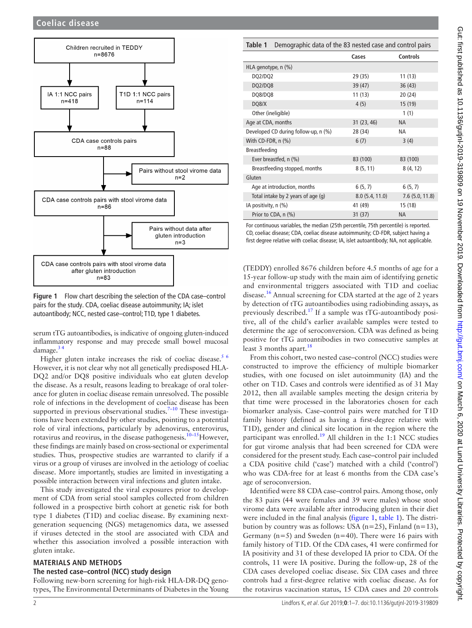

<span id="page-1-0"></span>**Figure 1** Flow chart describing the selection of the CDA case–control pairs for the study. CDA, coeliac disease autoimmunity; IA; islet autoantibody; NCC, nested case–control; T1D, type 1 diabetes.

serum tTG autoantibodies, is indicative of ongoing gluten-induced inflammatory response and may precede small bowel mucosal damage. $34$ 

Higher gluten intake increases the risk of coeliac disease.<sup>5 6</sup> However, it is not clear why not all genetically predisposed HLA-DQ2 and/or DQ8 positive individuals who eat gluten develop the disease. As a result, reasons leading to breakage of oral tolerance for gluten in coeliac disease remain unresolved. The possible role of infections in the development of coeliac disease has been supported in previous observational studies.<sup>7-10</sup> These investigations have been extended by other studies, pointing to a potential role of viral infections, particularly by adenovirus, enterovirus, rotavirus and reovirus, in the disease pathogenesis.<sup>10–15</sup>However, these findings are mainly based on cross-sectional or experimental studies. Thus, prospective studies are warranted to clarify if a virus or a group of viruses are involved in the aetiology of coeliac disease. More importantly, studies are limited in investigating a possible interaction between viral infections and gluten intake.

This study investigated the viral exposures prior to development of CDA from serial stool samples collected from children followed in a prospective birth cohort at genetic risk for both type 1 diabetes (T1D) and coeliac disease. By examining nextgeneration sequencing (NGS) metagenomics data, we assessed if viruses detected in the stool are associated with CDA and whether this association involved a possible interaction with gluten intake.

## **Materials and methods The nested case–control (NCC) study design**

Following new-born screening for high-risk HLA-DR-DQ genotypes, The Environmental Determinants of Diabetes in the Young

<span id="page-1-1"></span>

| Table 1<br>Demographic data of the 83 nested case and control pairs       |  |  |  |  |  |
|---------------------------------------------------------------------------|--|--|--|--|--|
|                                                                           |  |  |  |  |  |
| Controls<br>Cases                                                         |  |  |  |  |  |
| HLA genotype, $n$ $(\%)$                                                  |  |  |  |  |  |
| 29 (35)<br>11(13)<br>DQ2/DQ2                                              |  |  |  |  |  |
| DQ2/DQ8<br>39(47)<br>36(43)                                               |  |  |  |  |  |
| DQ8/DQ8<br>11(13)<br>20(24)                                               |  |  |  |  |  |
| DQ8/X<br>4(5)<br>15(19)                                                   |  |  |  |  |  |
| Other (ineligible)<br>1(1)                                                |  |  |  |  |  |
| Age at CDA, months<br>31 (23, 46)<br><b>NA</b>                            |  |  |  |  |  |
| Developed CD during follow-up, n (%)<br>28 (34)<br>NА                     |  |  |  |  |  |
| With CD-FDR, $n$ $(\%)$<br>6(7)<br>3(4)                                   |  |  |  |  |  |
| Breastfeeding                                                             |  |  |  |  |  |
| Ever breastfed, n (%)<br>83 (100)<br>83 (100)                             |  |  |  |  |  |
| Breastfeeding stopped, months<br>8(5, 11)<br>8 (4, 12)                    |  |  |  |  |  |
| Gluten                                                                    |  |  |  |  |  |
| Age at introduction, months<br>6(5, 7)<br>6(5, 7)                         |  |  |  |  |  |
| 8.0(5.4, 11.0)<br>$7.6$ (5.0, 11.8)<br>Total intake by 2 years of age (g) |  |  |  |  |  |
| 15 (18)<br>IA positivity, n (%)<br>41 (49)                                |  |  |  |  |  |
| Prior to CDA, n (%)<br>31(37)<br><b>NA</b>                                |  |  |  |  |  |

For continuous variables, the median (25th percentile, 75th percentile) is reported. CD, coeliac disease; CDA, coeliac disease autoimmunity; CD-FDR, subject having a first degree relative with coeliac disease; IA, islet autoantibody; NA, not applicable.

(TEDDY) enrolled 8676 children before 4.5 months of age for a 15-year follow-up study with the main aim of identifying genetic and environmental triggers associated with T1D and coeliac disease.<sup>16</sup> Annual screening for CDA started at the age of 2 years by detection of tTG autoantibodies using radiobinding assays, as previously described[.17](#page-6-7) If a sample was tTG-autoantibody positive, all of the child's earlier available samples were tested to determine the age of seroconversion. CDA was defined as being positive for tTG autoantibodies in two consecutive samples at least 3 months apart.<sup>[18](#page-6-8)</sup>

From this cohort, two nested case–control (NCC) studies were constructed to improve the efficiency of multiple biomarker studies, with one focused on islet autoimmunity (IA) and the other on T1D. Cases and controls were identified as of 31 May 2012, then all available samples meeting the design criteria by that time were processed in the laboratories chosen for each biomarker analysis. Case–control pairs were matched for T1D family history (defined as having a first-degree relative with T1D), gender and clinical site location in the region where the participant was enrolled.<sup>19</sup> All children in the 1:1 NCC studies for gut virome analysis that had been screened for CDA were considered for the present study. Each case–control pair included a CDA positive child ('case') matched with a child ('control') who was CDA-free for at least 6 months from the CDA case's age of seroconversion.

Identified were 88 CDA case–control pairs. Among those, only the 83 pairs (44 were females and 39 were males) whose stool virome data were available after introducing gluten in their diet were included in the final analysis [\(figure](#page-1-0) 1, [table](#page-1-1) 1). The distribution by country was as follows: USA ( $n=25$ ), Finland ( $n=13$ ), Germany  $(n=5)$  and Sweden  $(n=40)$ . There were 16 pairs with family history of T1D. Of the CDA cases, 41 were confirmed for IA positivity and 31 of these developed IA prior to CDA. Of the controls, 11 were IA positive. During the follow-up, 28 of the CDA cases developed coeliac disease. Six CDA cases and three controls had a first-degree relative with coeliac disease. As for the rotavirus vaccination status, 15 CDA cases and 20 controls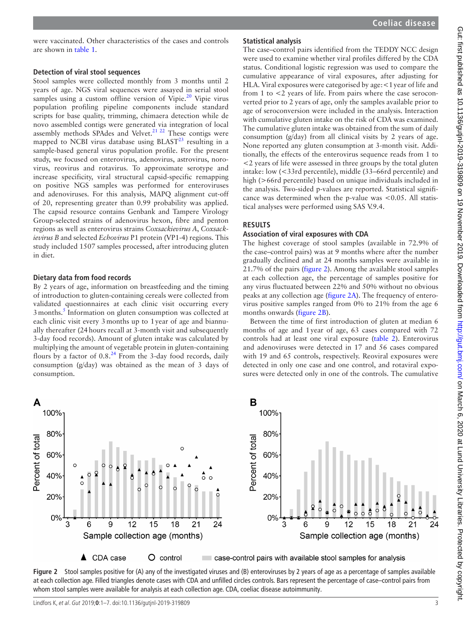were vaccinated. Other characteristics of the cases and controls are shown in [table](#page-1-1) 1.

#### **Detection of viral stool sequences**

Stool samples were collected monthly from 3 months until 2 years of age. NGS viral sequences were assayed in serial stool samples using a custom offline version of Vipie. $20$  Vipie virus population profiling pipeline components include standard scripts for base quality, trimming, chimaera detection while de novo assembled contigs were generated via integration of local assembly methods SPAdes and Velvet.<sup>21 22</sup> These contigs were mapped to NCBI virus database using  $BLAST^{23}$  resulting in a sample-based general virus population profile. For the present study, we focused on enterovirus, adenovirus, astrovirus, norovirus, reovirus and rotavirus. To approximate serotype and increase specificity, viral structural capsid-specific remapping on positive NGS samples was performed for enteroviruses and adenoviruses. For this analysis, MAPQ alignment cut-off of 20, representing greater than 0.99 probability was applied. The capsid resource contains Genbank and Tampere Virology Group-selected strains of adenovirus hexon, fibre and penton regions as well as enterovirus strains *Coxsackievirus A*, *Coxsackievirus B* and selected *Echovirus* P1 protein (VP1-4) regions. This study included 1507 samples processed, after introducing gluten in diet.

#### **Dietary data from food records**

By 2 years of age, information on breastfeeding and the timing of introduction to gluten-containing cereals were collected from validated questionnaires at each clinic visit occurring every 3 months.<sup>[5](#page-6-3)</sup> Information on gluten consumption was collected at each clinic visit every 3months up to 1year of age and biannually thereafter (24hours recall at 3-month visit and subsequently 3-day food records). Amount of gluten intake was calculated by multiplying the amount of vegetable protein in gluten-containing flours by a factor of 0.8.<sup>24</sup> From the 3-day food records, daily consumption (g/day) was obtained as the mean of 3 days of consumption.

#### **Statistical analysis**

The case–control pairs identified from the TEDDY NCC design were used to examine whether viral profiles differed by the CDA status. Conditional logistic regression was used to compare the cumulative appearance of viral exposures, after adjusting for HLA. Viral exposures were categorised by age: < 1 year of life and from 1 to <2 years of life. From pairs where the case seroconverted prior to 2 years of age, only the samples available prior to age of seroconversion were included in the analysis. Interaction with cumulative gluten intake on the risk of CDA was examined. The cumulative gluten intake was obtained from the sum of daily consumption (g/day) from all clinical visits by 2 years of age. None reported any gluten consumption at 3-month visit. Additionally, the effects of the enterovirus sequence reads from 1 to <2 years of life were assessed in three groups by the total gluten intake: low (<33rd percentile), middle (33–66rd percentile) and high (>66rd percentile) based on unique individuals included in the analysis. Two-sided p-values are reported. Statistical significance was determined when the p-value was  $< 0.05$ . All statistical analyses were performed using SAS V.9.4.

# **Results**

#### **Association of viral exposures with CDA**

The highest coverage of stool samples (available in 72.9% of the case–control pairs) was at 9 months where after the number gradually declined and at 24 months samples were available in 21.7% of the pairs ([figure](#page-2-0) 2). Among the available stool samples at each collection age, the percentage of samples positive for any virus fluctuated between 22% and 50% without no obvious peaks at any collection age ([figure](#page-2-0) 2A). The frequency of enterovirus positive samples ranged from 0% to 21% from the age 6 months onwards [\(figure](#page-2-0) 2B).

Between the time of first introduction of gluten at median 6 months of age and 1year of age, 63 cases compared with 72 controls had at least one viral exposure ([table](#page-3-0) 2). Enterovirus and adenoviruses were detected in 17 and 56 cases compared with 19 and 65 controls, respectively. Reoviral exposures were detected in only one case and one control, and rotaviral exposures were detected only in one of the controls. The cumulative



<span id="page-2-0"></span>**Figure 2** Stool samples positive for (A) any of the investigated viruses and (B) enteroviruses by 2 years of age as a percentage of samples available at each collection age. Filled triangles denote cases with CDA and unfilled circles controls. Bars represent the percentage of case–control pairs from whom stool samples were available for analysis at each collection age. CDA, coeliac disease autoimmunity.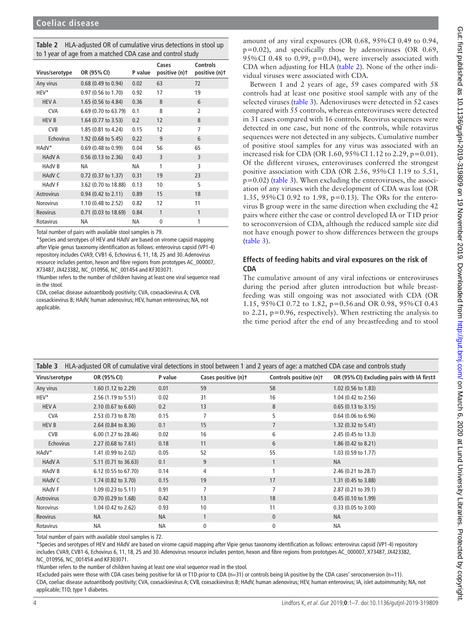<span id="page-3-0"></span>**Table 2** HLA-adjusted OR of cumulative virus detections in stool up to 1 year of age from a matched CDA case and control study

| Virus/serotype    | OR (95% CI)            | P value | Cases<br>positive (n)t | Controls<br>positive (n)t |
|-------------------|------------------------|---------|------------------------|---------------------------|
| Any virus         | $0.68$ (0.49 to 0.94)  | 0.02    | 63                     | 72                        |
| HEV*              | 0.97 (0.56 to 1.70)    | 0.92    | 17                     | 19                        |
| <b>HEV A</b>      | 1.65 (0.56 to 4.84)    | 0.36    | 8                      | 6                         |
| <b>CVA</b>        | 6.69 (0.70 to 63.79)   | 0.1     | 8                      | $\mathcal{P}$             |
| <b>HEV B</b>      | 1.64 (0.77 to 3.53)    | 0.2     | 12                     | 8                         |
| <b>CVB</b>        | 1.85 (0.81 to 4.24)    | 0.15    | 12                     | 7                         |
| <b>Fchovirus</b>  | 1.92 (0.68 to 5.45)    | 0.22    | 9                      | 6                         |
| HAdV*             | 0.69 (0.48 to 0.99)    | 0.04    | 56                     | 65                        |
| <b>HAdVA</b>      | $0.56$ (0.13 to 2.36)  | 0.43    | $\overline{3}$         | 3                         |
| <b>HAdV B</b>     | NА                     | NА      | 1                      | 3                         |
| HAdV C            | 0.72 (0.37 to 1.37)    | 0.31    | 19                     | 23                        |
| <b>HAdVF</b>      | 3.62 (0.70 to 18.88)   | 0.13    | 10                     | 5                         |
| <b>Astrovirus</b> | $0.94$ (0.42 to 2.11)  | 0.89    | 15                     | 18                        |
| <b>Norovirus</b>  | 1.10 (0.48 to 2.52)    | 0.82    | 12                     | 11                        |
| <b>Reovirus</b>   | $0.71$ (0.03 to 18.69) | 0.84    | 1                      | 1                         |
| Rotavirus         | NА                     | NА      | 0                      | 1                         |

Total number of pairs with available stool samples is 79.

\*Species and serotypes of HEV and HAdV are based on virome capsid mapping after Vipie genus taxonomy identification as follows: enterovirus capsid (VP1-4) repository includes CVA9, CVB1-6, Echovirus 6, 11, 18, 25 and 30. Adenovirus resource includes penton, hexon and fibre regions from prototypes AC\_000007, X73487, JX423382, NC\_010956, NC\_001454 and KF303071.

†Number refers to the number of children having at least one viral sequence read in the stool.

CDA, coeliac disease autoantibody positivity; CVA, coxsackievirus A; CVB, coxsackievirus B; HAdV, human adenovirus; HEV, human enterovirus; NA, not applicable.

amount of any viral exposures (OR 0.68, 95%CI 0.49 to 0.94, p=0.02), and specifically those by adenoviruses (OR 0.69, 95% CI 0.48 to 0.99,  $p=0.04$ ), were inversely associated with CDA when adjusting for HLA [\(table](#page-3-0) 2). None of the other individual viruses were associated with CDA.

Between 1 and 2 years of age, 59 cases compared with 58 controls had at least one positive stool sample with any of the selected viruses [\(table](#page-3-1) 3). Adenoviruses were detected in 52 cases compared with 55 controls, whereas enteroviruses were detected in 31 cases compared with 16 controls. Reovirus sequences were detected in one case, but none of the controls, while rotavirus sequences were not detected in any subjects. Cumulative number of positive stool samples for any virus was associated with an increased risk for CDA (OR 1.60, 95%CI 1.12 to 2.29, p=0.01). Of the different viruses, enteroviruses conferred the strongest positive association with CDA (OR 2.56, 95%CI 1.19 to 5.51,  $p=0.02$ ) ([table](#page-3-1) 3). When excluding the enteroviruses, the association of any viruses with the development of CDA was lost (OR 1.35, 95%CI 0.92 to 1.98, p=0.13). The ORs for the enterovirus B group were in the same direction when excluding the 42 pairs where either the case or control developed IA or T1D prior to seroconversion of CDA, although the reduced sample size did not have enough power to show differences between the groups ([table](#page-3-1) 3).

## **Effects of feeding habits and viral exposures on the risk of CDA**

The cumulative amount of any viral infections or enteroviruses during the period after gluten introduction but while breastfeeding was still ongoing was not associated with CDA (OR 1.15, 95%CI 0.72 to 1.82, p=0.56and OR 0.98, 95%CI 0.43 to 2.21, p=0.96, respectively). When restricting the analysis to the time period after the end of any breastfeeding and to stool

<span id="page-3-1"></span>

| Table 3 HLA-adjusted OR of cumulative viral detections in stool between 1 and 2 years of age: a matched CDA case and controls study |  |
|-------------------------------------------------------------------------------------------------------------------------------------|--|
|-------------------------------------------------------------------------------------------------------------------------------------|--|

| Virus/serotype   | OR (95% CI)           | P value   | Cases positive (n)t | Controls positive (n)t | OR (95% CI) Excluding pairs with IA first‡ |
|------------------|-----------------------|-----------|---------------------|------------------------|--------------------------------------------|
| Any virus        | 1.60 (1.12 to 2.29)   | 0.01      | 59                  | 58                     | 1.02 (0.56 to 1.83)                        |
| HEV*             | 2.56 (1.19 to 5.51)   | 0.02      | 31                  | 16                     | 1.04 (0.42 to 2.56)                        |
| <b>HEV A</b>     | 2.10 (0.67 to 6.60)   | 0.2       | 13                  | 8                      | $0.65$ (0.13 to 3.15)                      |
| <b>CVA</b>       | 2.53 (0.73 to 8.78)   | 0.15      | 7                   | 5                      | 0.64 (0.06 to 6.96)                        |
| HEV B            | 2.64 (0.84 to 8.36)   | 0.1       | 15                  |                        | 1.32 $(0.32 \text{ to } 5.41)$             |
| <b>CVB</b>       | 6.00 (1.27 to 28.46)  | 0.02      | 16                  | 6                      | 2.45 (0.45 to 13.3)                        |
| <b>Echovirus</b> | 2.27 (0.68 to 7.61)   | 0.18      | 11                  | 6                      | 1.86 (0.42 to 8.21)                        |
| HAdV*            | 1.41 (0.99 to 2.02)   | 0.05      | 52                  | 55                     | 1.03 (0.59 to 1.77)                        |
| <b>HAdVA</b>     | 5.11 (0.71 to 36.63)  | 0.1       | 9                   |                        | <b>NA</b>                                  |
| <b>HAdV B</b>    | 6.12 (0.55 to 67.70)  | 0.14      | 4                   |                        | 2.46 (0.21 to 28.7)                        |
| HAdV C           | 1.74 (0.82 to 3.70)   | 0.15      | 19                  | 17                     | 1.31 (0.45 to 3.88)                        |
| <b>HAdVF</b>     | 1.09 (0.23 to 5.11)   | 0.91      |                     | 7                      | 2.87 (0.21 to 39.1)                        |
| Astrovirus       | $0.70$ (0.29 to 1.68) | 0.42      | 13                  | 18                     | $0.45(0.10 \text{ to } 1.99)$              |
| <b>Norovirus</b> | 1.04 (0.42 to 2.62)   | 0.93      | 10                  | 11                     | $0.33(0.05 \text{ to } 3.00)$              |
| Reovirus         | <b>NA</b>             | <b>NA</b> |                     | $\mathbf{0}$           | <b>NA</b>                                  |
| Rotavirus        | <b>NA</b>             | <b>NA</b> | 0                   | 0                      | <b>NA</b>                                  |

Total number of pairs with available stool samples is 72.

\*Species and serotypes of HEV and HAdV are based on virome capsid mapping after Vipie genus taxonomy identification as follows: enterovirus capsid (VP1-4) repository includes CVA9, CVB1-6, Echovirus 6, 11, 18, 25 and 30. Adenovirus resource includes penton, hexon and fibre regions from prototypes AC\_000007, X73487, JX423382, NC\_010956, NC\_001454 and KF303071.

†Number refers to the number of children having at least one viral sequence read in the stool.

‡Excluded pairs were those with CDA cases being positive for IA or T1D prior to CDA (n=31) or controls being IA positive by the CDA cases' seroconversion (n=11). CDA, coeliac disease autoantibody positivity; CVA, coxsackievirus A; CVB, coxsackievirus B; HAdV, human adenovirus; HEV, human enterovirus; IA, islet autoimmunity; NA, not applicable; T1D, type 1 diabetes.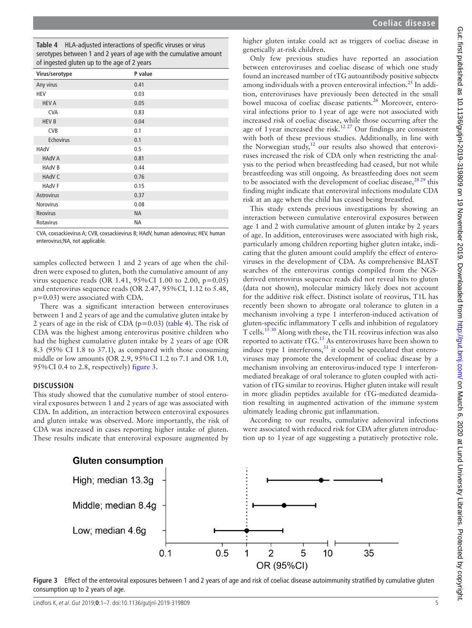<span id="page-4-0"></span>

| Table 4 HLA-adjusted interactions of specific viruses or virus    |
|-------------------------------------------------------------------|
| serotypes between 1 and 2 years of age with the cumulative amount |
| of ingested gluten up to the age of 2 years                       |

| Virus/serotype    | P value   |
|-------------------|-----------|
| Any virus         | 0.41      |
| <b>HEV</b>        | 0.03      |
| <b>HEV A</b>      | 0.05      |
| <b>CVA</b>        | 0.83      |
| <b>HEV B</b>      | 0.04      |
| <b>CVB</b>        | 0.1       |
| <b>Echovirus</b>  | 0.1       |
| HAdV              | 0.5       |
| <b>HAdVA</b>      | 0.81      |
| <b>HAdV B</b>     | 0.44      |
| HAdV C            | 0.76      |
| <b>HAdVF</b>      | 0.15      |
| <b>Astrovirus</b> | 0.37      |
| <b>Norovirus</b>  | 0.08      |
| Reovirus          | <b>NA</b> |
| <b>Rotavirus</b>  | <b>NA</b> |

CVA, coxsackievirus A; CVB, coxsackievirus B; HAdV, human adenovirus; HEV, human enterovirus;NA, not applicable.

samples collected between 1 and 2 years of age when the children were exposed to gluten, both the cumulative amount of any virus sequence reads (OR 1.41,  $95\%$ CI 1.00 to 2.00, p=0.05) and enterovirus sequence reads (OR 2.47, 95%CI, 1.12 to 5.48, p=0.03) were associated with CDA.

There was a significant interaction between enteroviruses between 1 and 2 years of age and the cumulative gluten intake by 2 years of age in the risk of CDA ( $p=0.03$ ) [\(table](#page-4-0) 4). The risk of CDA was the highest among enterovirus positive children who had the highest cumulative gluten intake by 2 years of age (OR 8.3 (95% CI 1.8 to 37.1), as compared with those consuming middle or low amounts (OR 2.9, 95%CI 1.2 to 7.1 and OR 1.0, 95%CI 0.4 to 2.8, respectively) [figure](#page-4-1) 3.

## **Discussion**

This study showed that the cumulative number of stool enteroviral exposures between 1 and 2 years of age was associated with CDA. In addition, an interaction between enteroviral exposures and gluten intake was observed. More importantly, the risk of CDA was increased in cases reporting higher intake of gluten. These results indicate that enteroviral exposure augmented by

higher gluten intake could act as triggers of coeliac disease in genetically at-risk children.

Only few previous studies have reported an association between enteroviruses and coeliac disease of which one study found an increased number of tTG autoantibody positive subjects among individuals with a proven enteroviral infection.<sup>[25](#page-6-14)</sup> In addition, enteroviruses have previously been detected in the small bowel mucosa of coeliac disease patients.<sup>26</sup> Moreover, enteroviral infections prior to 1year of age were not associated with increased risk of coeliac disease, while those occurring after the age of 1 year increased the risk.<sup>12 27</sup> Our findings are consistent with both of these previous studies. Additionally, in line with the Norwegian study, $12$  our results also showed that enteroviruses increased the risk of CDA only when restricting the analysis to the period when breastfeeding had ceased, but not while breastfeeding was still ongoing. As breastfeeding does not seem to be associated with the development of coeliac disease,  $2829$  this finding might indicate that enteroviral infections modulate CDA risk at an age when the child has ceased being breastfed.

This study extends previous investigations by showing an interaction between cumulative enteroviral exposures between age 1 and 2 with cumulative amount of gluten intake by 2 years of age. In addition, enteroviruses were associated with high risk, particularly among children reporting higher gluten intake, indicating that the gluten amount could amplify the effect of enteroviruses in the development of CDA. As comprehensive BLAST searches of the enterovirus contigs compiled from the NGSderived enterovirus sequence reads did not reveal hits to gluten (data not shown), molecular mimicry likely does not account for the additive risk effect. Distinct isolate of reovirus, T1L has recently been shown to abrogate oral tolerance to gluten in a mechanism involving a type 1 interferon-induced activation of gluten-specific inflammatory T cells and inhibition of regulatory T cells.<sup>[15 30](#page-6-18)</sup> Along with these, the T1L reovirus infection was also reported to activate tTG.<sup>15</sup> As enteroviruses have been shown to induce type 1 interferons, $31$  it could be speculated that enteroviruses may promote the development of coeliac disease by a mechanism involving an enterovirus-induced type 1 interferonmediated breakage of oral tolerance to gluten coupled with activation of tTG similar to reovirus. Higher gluten intake will result in more gliadin peptides available for tTG-mediated deamidation resulting in augmented activation of the immune system ultimately leading chronic gut inflammation.

According to our results, cumulative adenoviral infections were associated with reduced risk for CDA after gluten introduction up to 1year of age suggesting a putatively protective role.



<span id="page-4-1"></span>**Figure 3** Effect of the enteroviral exposures between 1 and 2 years of age and risk of coeliac disease autoimmunity stratified by cumulative gluten consumption up to 2 years of age.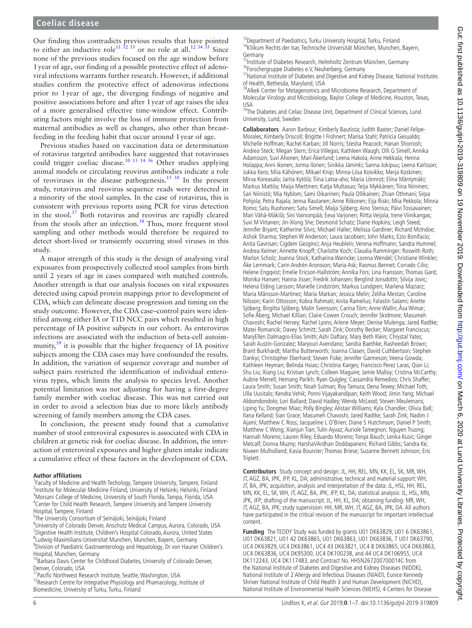Our finding thus contradicts previous results that have pointed to either an inductive role<sup>11  $\frac{1}{32}$  33 or no role at all.<sup>12 34  $\frac{1}{35}$ </sup> Since</sup> none of the previous studies focused on the age window before 1year of age, our finding of a possible protective effect of adenoviral infections warrants further research. However, if additional studies confirm the protective effect of adenovirus infections prior to 1year of age, the diverging findings of negative and positive associations before and after 1year of age raises the idea of a more generalised effective time-window effect. Contributing factors might involve the loss of immune protection from maternal antibodies as well as changes, also other than breastfeeding in the feeding habit that occur around 1year of age.

Previous studies based on vaccination data or determination of rotavirus targeted antibodies have suggested that rotaviruses could trigger coeliac disease.<sup>[10 13 14 36](#page-6-5)</sup> Other studies applying animal models or circulating reovirus antibodies indicate a role of reoviruses in the disease pathogenesis.[15 30](#page-6-18) In the present study, rotavirus and reovirus sequence reads were detected in a minority of the stool samples. In the case of rotavirus, this is consistent with previous reports using PCR for virus detection in the stool.<sup>[37](#page-6-21)</sup> Both rotavirus and reovirus are rapidly cleared from the stools after an infection.<sup>[38](#page-6-22)</sup> Thus, more frequent stool sampling and other methods would therefore be required to detect short-lived or transiently occurring stool viruses in this study.

A major strength of this study is the design of analysing viral exposures from prospectively collected stool samples from birth until 2 years of age in cases compared with matched controls. Another strength is that our analysis focuses on viral exposures detected using capsid protein mappings prior to development of CDA, which can delineate disease progression and timing on the study outcome. However, the CDA case–control pairs were identified among either IA or T1D NCC pairs which resulted in high percentage of IA positive subjects in our cohort. As enterovirus infections are associated with the induction of beta-cell autoimmunity, $39$  it is possible that the higher frequency of IA positive subjects among the CDA cases may have confounded the results. In addition, the variation of sequence coverage and number of subject pairs restricted the identification of individual enterovirus types, which limits the analysis to species level. Another potential limitation was not adjusting for having a first-degree family member with coeliac disease. This was not carried out in order to avoid a selection bias due to more likely antibody screening of family members among the CDA cases.

In conclusion, the present study found that a cumulative number of stool enteroviral exposures is associated with CDA in children at genetic risk for coeliac disease. In addition, the interaction of enteroviral exposures and higher gluten intake indicate a cumulative effect of these factors in the development of CDA.

#### **Author affiliations**

<sup>1</sup> Faculty of Medicine and Health Techology, Tampere University, Tampere, Finland 2<br><sup>2</sup> Institute for Melecular Medicine Finland, University of Helsinki, Helsinki, Finland <sup>2</sup>Institute for Molecular Medicine Finland, University of Helsinki, Helsinki, Finland <sup>3</sup>Morsani College of Medicine, University of South Florida, Tampa, Florida, USA<br><sup>4</sup>Conter for Child Haalth Research Tampers University and Tampers University <sup>4</sup> Center for Child Health Research, Tampere University and Tampere University Hospital, Tampere, Finland <sup>5</sup>

<sup>5</sup>The University Consortium of Seinäjoki, Seinäjoki, Finland

<sup>6</sup>University of Colorado Denver, Anschutz Medical Campus, Aurora, Colorado, USA <sup>7</sup>Digestive Health Institute, Children's Hospital Colorado, Aurora, United States

<sup>8</sup>Ludwig-Maximilians-Universitat Munchen, Munchen, Bayern, Germany

<sup>9</sup> Division of Paediatric Gastroenterology and Hepatology, Dr von Hauner Children's<br>Hospital, Munchen, Germany

<sup>10</sup>Barbara Davis Center for Childhood Diabetes, University of Colorado Denver,

Denver, Colorado, USA<br><sup>11</sup>Pacific Northwest Research Institute, Seattle, Washington, USA 11Pacific Northwest Research Centre for Integrative Physiology and Phamacology, Institute of Biomedicine, University of Turku, Turku, Finland

<sup>13</sup>Department of Paediatrics, Turku University Hospital, Turku, Finland<br><sup>14</sup>Kliikum Rechts der Isar, Technische Universität München, Munchen, Bayern,

Germany<br><sup>15</sup>Institute of Diabetes Research, Helmholtz Zentrum München, Germany

<sup>16</sup> Forschergruppe Diabetes e.V, Neuherberg, Germany 16Forschergruppe Diabetes e.V, Neuherberg, Germany 17National Institutes of Diabetes and Digestive and Kidney Disease, National Institutes of Health. Bethesda. Marylan

<sup>18</sup> Alkek Center for Metagenomics and Microbiome Research, Department of Molecular Virology and Microbiology, Baylor College of Medicine, Houston, Texas,

 $19$ The Diabetes and Celiac Disease Unit, Department of Clinical Sciences, Lund University, Lund, Sweden

**Collaborators** Aaron Barbour; Kimberly Bautista; Judith Baxter; Daniel Felipe-Morales; Kimberly Driscoll; Brigitte I Frohnert; Marisa Stahl; Patricia Gesualdo; Michelle Hoffman; Rachel Karban; Jill Norris; Stesha Peacock; Hanan Shorrosh; Andrea Steck; Megan Stern; Erica Villegas; Kathleen Waugh; Olli G Simell; Annika Adamsson; Suvi Ahonen; Mari Åkerlund; Leena Hakola; Anne Hekkala; Henna Holappa; Anni Ikonen; Jorma Ilonen; Sinikka Jäminki; Sanna Jokipuu; Leena Karlsson; Jukka Kero; Miia Kähönen; Mikael Knip; Minna-Liisa Koivikko; Merja Koskinen; Mirva Koreasalo; Jarita Kytölä; Tiina Latva-aho; Maria Lönnrot; Elina Mäntymäki; Markus Mattila; Maija Miettinen; Katja Multasuo; Teija Mykkänen; Tiina Niininen; Sari Niinistö; Mia Nyblom; Sami Oikarinen; Paula Ollikainen; Zhian Othmani; Sirpa Pohjola; Petra Rajala; Jenna Rautanen; Anne Riikonen; Eija Riski; Miia Pekkola; Minna Romo; Satu Ruohonen; Satu Simell; Maija Sjöberg; Aino Stenius; Päivi Tossavainen; Mari Vähä-Mäkilä; Sini Vainionpää; Eeva Varjonen; Riitta Veijola; Irene Viinikangas; Suvi M Virtanen; Jin-Xiong She; Desmond Schatz; Diane Hopkins; Leigh Steed; Jennifer Bryant; Katherine Silvis; Michael Haller; Melissa Gardiner; Richard McIndoe; Ashok Sharma; Stephen W Anderson; Laura Jacobsen; John Marks; Ezio Bonifacio; Anita Gavrisan; Cigdem Gezginci; Anja Heublein; Verena Hoffmann; Sandra Hummel; Andrea Keimer; Annette Knopff; Charlotte Koch; Claudia Ramminger; Roswith Roth; Marlon Scholz; Joanna Stock; Katharina Warncke; Lorena Wendel; Christiane Winkler; Åke Lernmark; Carin Andrén Aronsson; Maria Ask; Rasmus Bennet; Corrado Cilio; Helene Engqvist; Emelie Ericson-Hallström; Annika Fors; Lina Fransson; Thomas Gard; Monika Hansen; Hanna Jisser; Fredrik Johansen; Berglind Jonsdottir; Silvija Jovic; Helena Elding Larsson; Marielle Lindström; Markus Lundgren; Marlena Maziarz; Maria Månsson-Martinez; Maria Markan; Jessica Melin; Zeliha Mestan; Caroline Nilsson; Karin Ottosson; Kobra Rahmati; Anita Ramelius; Falastin Salami; Anette Sjöberg; Birgitta Sjöberg; Malin Svensson; Carina Törn; Anne Wallin; Åsa Wimar; Sofie Åberg; Michael Killian; Claire Cowen Crouch; Jennifer Skidmore; Masumeh Chavoshi; Rachel Hervey; Rachel Lyons; Arlene Meyer; Denise Mulenga; Jared Radtke; Matei Romancik; Davey Schmitt; Sarah Zink; Dorothy Becker; Margaret Franciscus; MaryEllen Dalmagro-Elias Smith; Ashi Daftary; Mary Beth Klein; Chrystal Yates; Sarah Austin-Gonzalez; Maryouri Avendano; Sandra Baethke; Rasheedah Brown; Brant Burkhardt; Martha Butterworth; Joanna Clasen; David Cuthbertson; Stephen Dankyi; Christopher Eberhard; Steven Fiske; Jennifer Garmeson; Veena Gowda; Kathleen Heyman; Belinda Hsiao; Christina Karges; Francisco Perez Laras; Qian Li; Shu Liu; Xiang Liu; Kristian Lynch; Colleen Maguire; Jamie Malloy; Cristina McCarthy; Aubrie Merrell; Hemang Parikh; Ryan Quigley; Cassandra Remedios; Chris Shaffer; Laura Smith; Susan Smith; Noah Sulman; Roy Tamura; Dena Tewey; Michael Toth; Ulla Uusitalo; Kendra Vehik; Ponni Vijayakandipan; Keith Wood; Jimin Yang; Michael Abbondondolo; Lori Ballard; David Hadley; Wendy McLeod; Steven Meulemans; Liping Yu; Dongmei Miao; Polly Bingley; Alistair Williams; Kyla Chandler; Olivia Ball; Ilana Kelland; Sian Grace; Masumeh Chavoshi; Jared Radtke; Sarah Zink; Nadim J Ajami; Matthew C Ross; Jacqueline L O'Brien; Diane S Hutchinson; Daniel P Smith; Matthew C Wong; Xianjun Tian; Tulin Ayvaz; Auriole Tamegnon; Nguyen Truong; Hannah Moreno; Lauren Riley; Eduardo Moreno; Tonya Bauch; Lenka Kusic; Ginger Metcalf; Donna Muzny; HarshaVArdhan Doddapaneni; Richard Gibbs; Sandra Ke; Niveen Mulholland; Kasia Bourcier; Thomas Briese; Suzanne Bennett Johnson; Eric Triplett.

**Contributors** Study concept and design: JL, HH, REL, MN, KK, EL, SK, MR, WH, JT, AGZ, BA, JPK, JFP, KL, DA; administrative, technical and material support: WH, JT, BA, JPK; acquisition, analysis and interpretation of the data: JL, HSL, HH, REL, MN, KK, EL, SK, WH, JT, AGZ, BA, JPK, JFP, KL, DA; statistical analysis: JL, HSL, MN, JPK, JFP; drafting of the manuscript: JL, HH, KL, DA; obtaining funding: MR, WH, JT, AGZ, BA, JPK; study supervision: HH, MR, WH, JT, AGZ, BA, JPK, DA. All authors have participated in the critical revision of the manuscript for important intellectual content.

**Funding** The TEDDY Study was funded by grants U01 DK63829, U01 6 DK63861, U01 DK63821, U01 42 DK63865, U01 DK63863, U01 DK63836, 7 U01 DK63790, UC4 DK63829, UC4 DK63861, UC4 43 DK63821, UC4 8 DK63865, UC4 DK63863, UC4 DK63836, UC4 DK95300, UC4 DK100238, and 44 UC4 DK106955, UC4 DK112243, UC4 DK117483, and Contract No. HHSN267200700014C from the National Institute of Diabetes and Digestive and Kidney Diseases (NIDDK), National Institute of 2 Allergy and Infectious Diseases (NIAID), Eunice Kennedy Shriver National Institute of Child Health 3 and Human Development (NICHD), National Institute of Environmental Health Sciences (NIEHS), 4 Centers for Disease